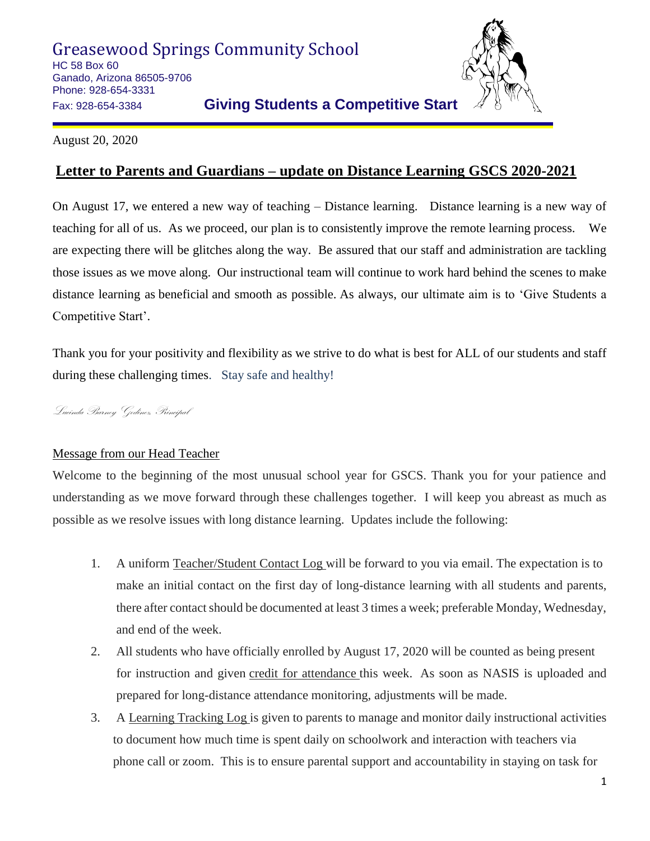Greasewood Springs Community School HC 58 Box 60 Ganado, Arizona 86505-9706 Phone: 928-654-3331 Fax: 928-654-3384 **Giving Students a Competitive Start**



August 20, 2020

## **Letter to Parents and Guardians – update on Distance Learning GSCS 2020-2021**

On August 17, we entered a new way of teaching – Distance learning. Distance learning is a new way of teaching for all of us. As we proceed, our plan is to consistently improve the remote learning process. We are expecting there will be glitches along the way. Be assured that our staff and administration are tackling those issues as we move along. Our instructional team will continue to work hard behind the scenes to make distance learning as beneficial and smooth as possible. As always, our ultimate aim is to 'Give Students a Competitive Start'.

Thank you for your positivity and flexibility as we strive to do what is best for ALL of our students and staff during these challenging times. Stay safe and healthy!

Lucinda Barney Godinez, Principal

## Message from our Head Teacher

Welcome to the beginning of the most unusual school year for GSCS. Thank you for your patience and understanding as we move forward through these challenges together. I will keep you abreast as much as possible as we resolve issues with long distance learning. Updates include the following:

- 1. A uniform Teacher/Student Contact Log will be forward to you via email. The expectation is to make an initial contact on the first day of long-distance learning with all students and parents, there after contact should be documented at least 3 times a week; preferable Monday, Wednesday, and end of the week.
- 2. All students who have officially enrolled by August 17, 2020 will be counted as being present for instruction and given credit for attendance this week. As soon as NASIS is uploaded and prepared for long-distance attendance monitoring, adjustments will be made.
- 3. A Learning Tracking Log is given to parents to manage and monitor daily instructional activities to document how much time is spent daily on schoolwork and interaction with teachers via phone call or zoom. This is to ensure parental support and accountability in staying on task for